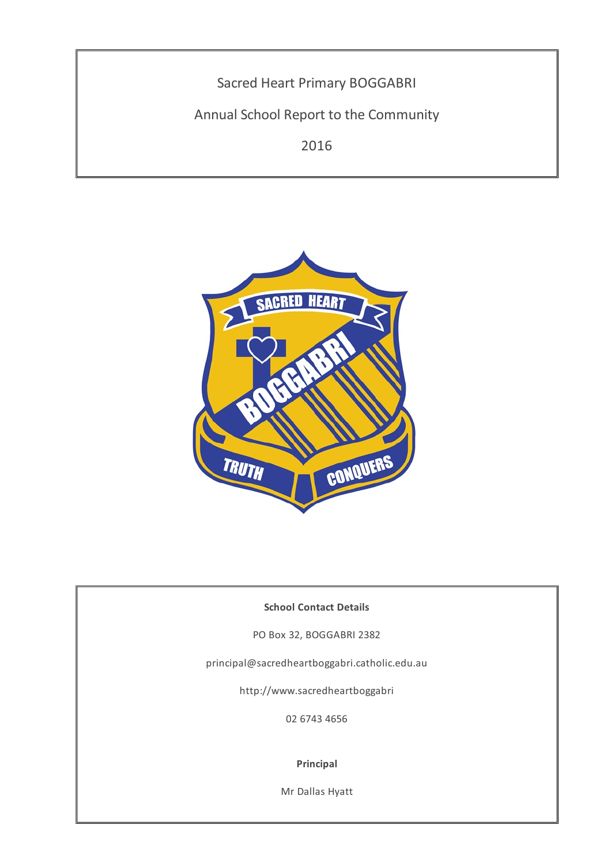



# **School Contact Details**

PO Box 32, BOGGABRI 2382

principal@sacredheartboggabri.catholic.edu.au

http://www.sacredheartboggabri

02 6743 4656

### **Principal**

Mr Dallas Hyatt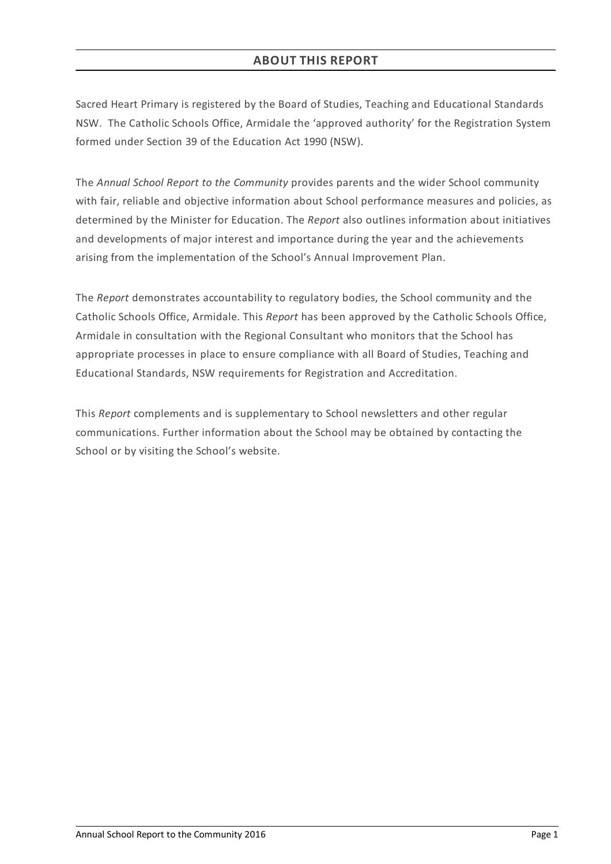Sacred Heart Primary is registered by the Board of Studies, Teaching and Educational Standards NSW. The Catholic Schools Office, Armidale the 'approved authority' for the Registration System formed under Section 39 of the Education Act 1990 (NSW).

The *Annual School Report to the Community* provides parents and the wider School community with fair, reliable and objective information about School performance measures and policies, as determined by the Minister for Education. The *Report* also outlines information about initiatives and developments of major interest and importance during the year and the achievements arising from the implementation of the School's Annual Improvement Plan.

The *Report* demonstrates accountability to regulatory bodies, the School community and the Catholic Schools Office, Armidale. This *Report* has been approved by the Catholic Schools Office, Armidale in consultation with the Regional Consultant who monitors that the School has appropriate processes in place to ensure compliance with all Board of Studies, Teaching and Educational Standards, NSW requirements for Registration and Accreditation.

This *Report* complements and is supplementary to School newsletters and other regular communications. Further information about the School may be obtained by contacting the School or by visiting the School's website.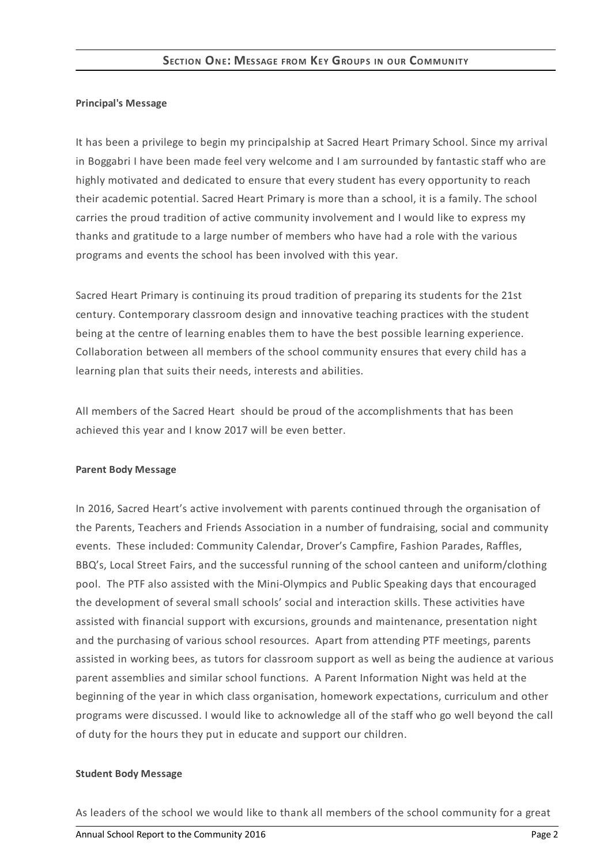### **Principal's Message**

It has been a privilege to begin my principalship at Sacred Heart Primary School. Since my arrival in Boggabri I have been made feel very welcome and I am surrounded by fantastic staff who are highly motivated and dedicated to ensure that every student has every opportunity to reach their academic potential. Sacred Heart Primary is more than a school, it is a family. The school carries the proud tradition of active community involvement and I would like to express my thanks and gratitude to a large number of members who have had a role with the various programs and events the school has been involved with this year.

Sacred Heart Primary is continuing its proud tradition of preparing its students for the 21st century. Contemporary classroom design and innovative teaching practices with the student being at the centre of learning enables them to have the best possible learning experience. Collaboration between all members of the school community ensures that every child has a learning plan that suits their needs, interests and abilities.

All members of the Sacred Heart should be proud of the accomplishments that has been achieved this year and I know 2017 will be even better.

#### **Parent Body Message**

In 2016, Sacred Heart's active involvement with parents continued through the organisation of the Parents, Teachers and Friends Association in a number of fundraising, social and community events. These included: Community Calendar, Drover's Campfire, Fashion Parades, Raffles, BBQ's, Local Street Fairs, and the successful running of the school canteen and uniform/clothing pool. The PTF also assisted with the Mini-Olympics and Public Speaking days that encouraged the development of several small schools' social and interaction skills. These activities have assisted with financial support with excursions, grounds and maintenance, presentation night and the purchasing of various school resources. Apart from attending PTF meetings, parents assisted in working bees, as tutors for classroom support as well as being the audience at various parent assemblies and similar school functions. A Parent Information Night was held at the beginning of the year in which class organisation, homework expectations, curriculum and other programs were discussed. I would like to acknowledge all of the staff who go well beyond the call of duty for the hours they put in educate and support our children.

#### **Student Body Message**

As leaders of the school we would like to thank all members of the school community for a great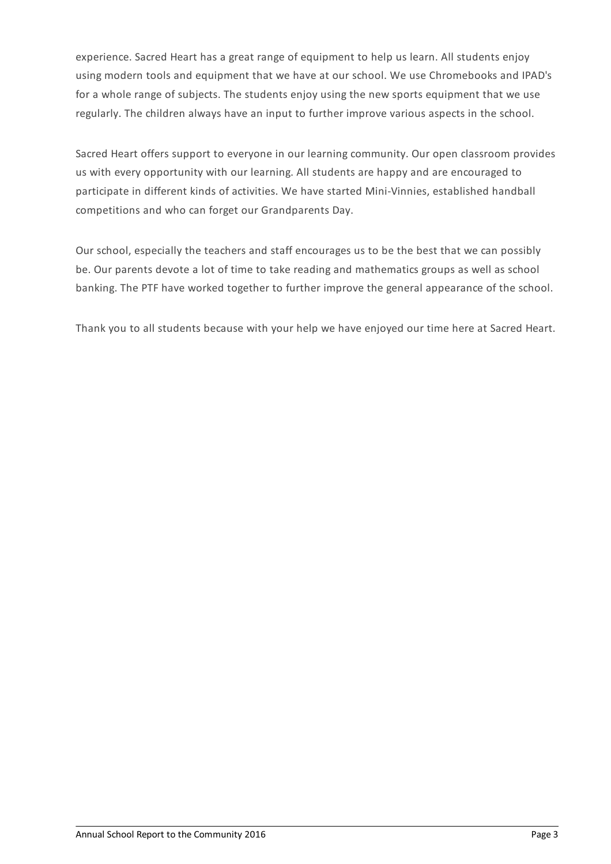experience. Sacred Heart has a great range of equipment to help us learn. All students enjoy using modern tools and equipment that we have at our school. We use Chromebooks and IPAD's for a whole range of subjects. The students enjoy using the new sports equipment that we use regularly. The children always have an input to further improve various aspects in the school.

Sacred Heart offers support to everyone in our learning community. Our open classroom provides us with every opportunity with our learning. All students are happy and are encouraged to participate in different kinds of activities. We have started Mini-Vinnies, established handball competitions and who can forget our Grandparents Day.

Our school, especially the teachers and staff encourages us to be the best that we can possibly be. Our parents devote a lot of time to take reading and mathematics groups as well as school banking. The PTF have worked together to further improve the general appearance of the school.

Thank you to all students because with your help we have enjoyed our time here at Sacred Heart.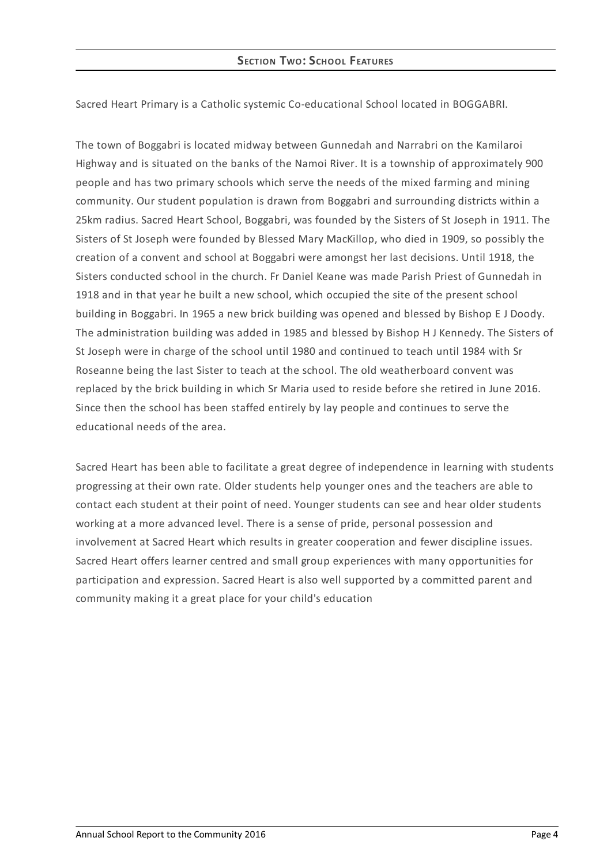Sacred Heart Primary is a Catholic systemic Co-educational School located in BOGGABRI.

The town of Boggabri is located midway between Gunnedah and Narrabri on the Kamilaroi Highway and is situated on the banks of the Namoi River. It is a township of approximately 900 people and has two primary schools which serve the needs of the mixed farming and mining community. Our student population is drawn from Boggabri and surrounding districts within a 25km radius. Sacred Heart School, Boggabri, was founded by the Sisters of St Joseph in 1911. The Sisters of St Joseph were founded by Blessed Mary MacKillop, who died in 1909, so possibly the creation of a convent and school at Boggabri were amongst her last decisions. Until 1918, the Sisters conducted school in the church. Fr Daniel Keane was made Parish Priest of Gunnedah in 1918 and in that year he built a new school, which occupied the site of the present school building in Boggabri. In 1965 a new brick building was opened and blessed by Bishop E J Doody. The administration building was added in 1985 and blessed by Bishop H J Kennedy. The Sisters of St Joseph were in charge of the school until 1980 and continued to teach until 1984 with Sr Roseanne being the last Sister to teach at the school. The old weatherboard convent was replaced by the brick building in which Sr Maria used to reside before she retired in June 2016. Since then the school has been staffed entirely by lay people and continues to serve the educational needs of the area.

Sacred Heart has been able to facilitate a great degree of independence in learning with students progressing at their own rate. Older students help younger ones and the teachers are able to contact each student at their point of need. Younger students can see and hear older students working at a more advanced level. There is a sense of pride, personal possession and involvement at Sacred Heart which results in greater cooperation and fewer discipline issues. Sacred Heart offers learner centred and small group experiences with many opportunities for participation and expression. Sacred Heart is also well supported by a committed parent and community making it a great place for your child's education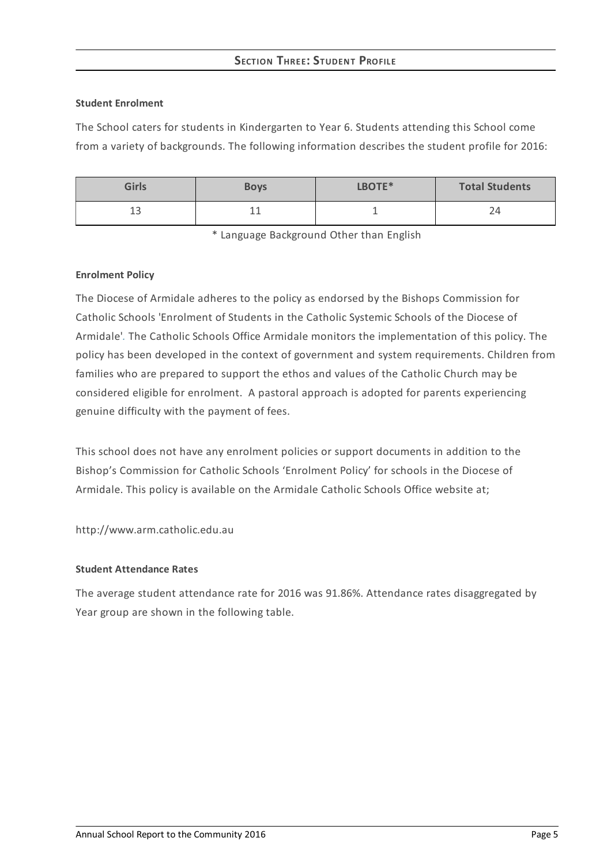# **SECTION THREE:STUDENT PROFILE**

### **Student Enrolment**

The School caters for students in Kindergarten to Year 6. Students attending this School come from a variety of backgrounds. The following information describes the student profile for 2016:

| <b>Girls</b> | <b>Boys</b> | LBOTE* | <b>Total Students</b> |
|--------------|-------------|--------|-----------------------|
| ᅩ            | --          |        | ←                     |

\* Language Background Other than English

### **Enrolment Policy**

The Diocese of Armidale adheres to the policy as endorsed by the Bishops Commission for Catholic Schools 'Enrolment of Students in the Catholic Systemic Schools of the Diocese of Armidale'*[.](http://www.ceosyd.catholic.edu.au/About/Pages/pol-pos-papers.aspx)* The Catholic Schools Office Armidale monitors the implementation of this policy. The policy has been developed in the context of government and system requirements. Children from families who are prepared to support the ethos and values of the Catholic Church may be considered eligible for enrolment. A pastoral approach is adopted for parents experiencing genuine difficulty with the payment of fees.

This school does not have any enrolment policies or support documents in addition to the Bishop's Commission for Catholic Schools 'Enrolment Policy' for schools in the Diocese of Armidale. This policy is available on the Armidale Catholic Schools Office website at;

http://www.arm.catholic.edu.au

## **Student Attendance Rates**

The average student attendance rate for 2016 was 91.86%. Attendance rates disaggregated by Year group are shown in the following table.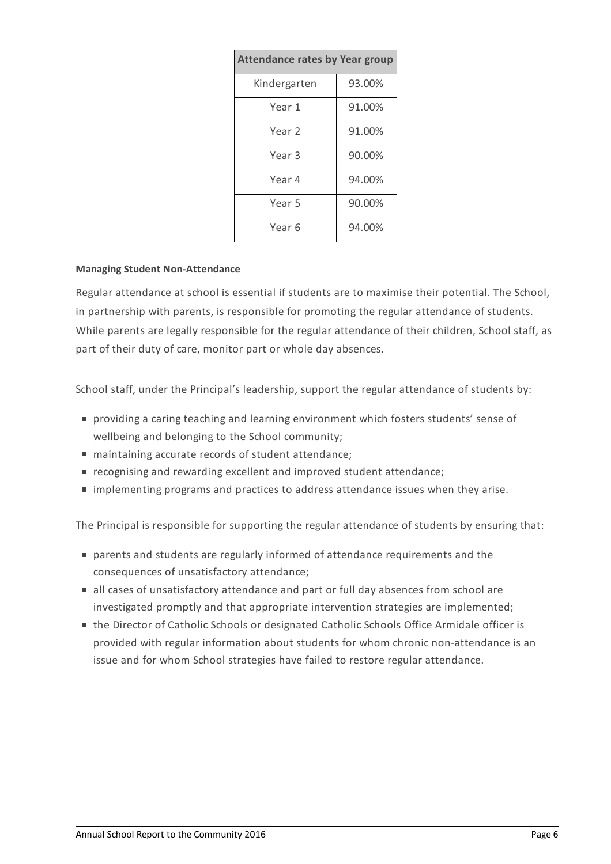| <b>Attendance rates by Year group</b> |        |  |  |
|---------------------------------------|--------|--|--|
| Kindergarten                          | 93.00% |  |  |
| Year 1                                | 91.00% |  |  |
| Year 2                                | 91.00% |  |  |
| Year <sub>3</sub>                     | 90.00% |  |  |
| Year 4                                | 94.00% |  |  |
| Year 5                                | 90.00% |  |  |
| Year 6                                | 94.00% |  |  |

### **Managing Student Non-Attendance**

Regular attendance at school is essential if students are to maximise their potential. The School, in partnership with parents, is responsible for promoting the regular attendance of students. While parents are legally responsible for the regular attendance of their children, School staff, as part of their duty of care, monitor part or whole day absences.

School staff, under the Principal's leadership, support the regular attendance of students by:

- providing a caring teaching and learning environment which fosters students' sense of wellbeing and belonging to the School community;
- maintaining accurate records of student attendance;
- recognising and rewarding excellent and improved student attendance;
- implementing programs and practices to address attendance issues when they arise.

The Principal is responsible for supporting the regular attendance of students by ensuring that:

- parents and students are regularly informed of attendance requirements and the consequences of unsatisfactory attendance;
- all cases of unsatisfactory attendance and part or full day absences from school are investigated promptly and that appropriate intervention strategies are implemented;
- the Director of Catholic Schools or designated Catholic Schools Office Armidale officer is provided with regular information about students for whom chronic non-attendance is an issue and for whom School strategies have failed to restore regular attendance.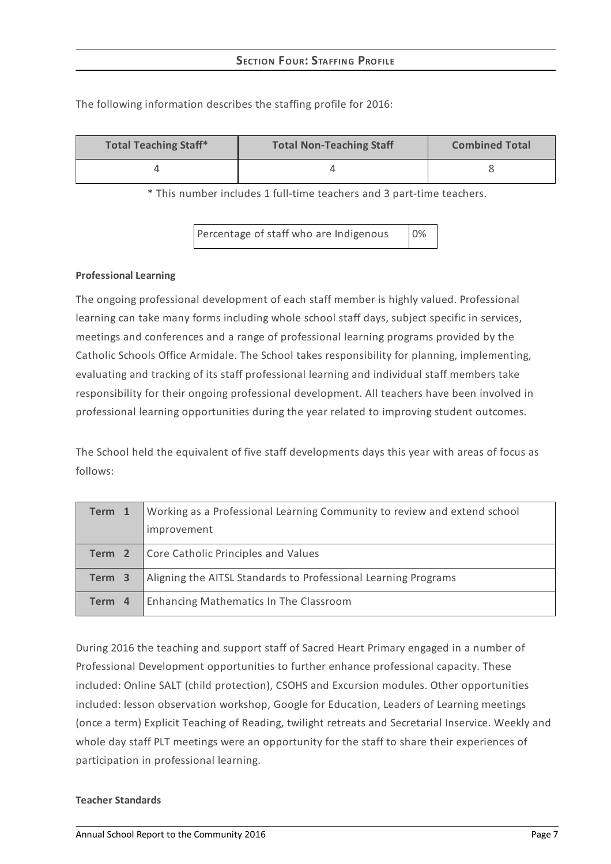| <b>Total Teaching Staff*</b> | <b>Total Non-Teaching Staff</b> | <b>Combined Total</b> |
|------------------------------|---------------------------------|-----------------------|
|                              |                                 |                       |

The following information describes the staffing profile for 2016:

\* This number includes 1 full-time teachers and 3 part-time teachers.

Percentage of staff who are Indigenous 0%

### **Professional Learning**

The ongoing professional development of each staff member is highly valued. Professional learning can take many forms including whole school staff days, subject specific in services, meetings and conferences and a range of professional learning programs provided by the Catholic Schools Office Armidale. The School takes responsibility for planning, implementing, evaluating and tracking of its staff professional learning and individual staff members take responsibility for their ongoing professional development. All teachers have been involved in professional learning opportunities during the year related to improving student outcomes.

The School held the equivalent of five staff developments days this year with areas of focus as follows:

| Term 1 | Working as a Professional Learning Community to review and extend school<br>improvement |
|--------|-----------------------------------------------------------------------------------------|
| Term 2 | Core Catholic Principles and Values                                                     |
| Term 3 | Aligning the AITSL Standards to Professional Learning Programs                          |
| Term 4 | Enhancing Mathematics In The Classroom                                                  |

During 2016 the teaching and support staff of Sacred Heart Primary engaged in a number of Professional Development opportunities to further enhance professional capacity. These included: Online SALT (child protection), CSOHS and Excursion modules. Other opportunities included: lesson observation workshop, Google for Education, Leaders of Learning meetings (once a term) Explicit Teaching of Reading, twilight retreats and Secretarial Inservice. Weekly and whole day staff PLT meetings were an opportunity for the staff to share their experiences of participation in professional learning.

#### **Teacher Standards**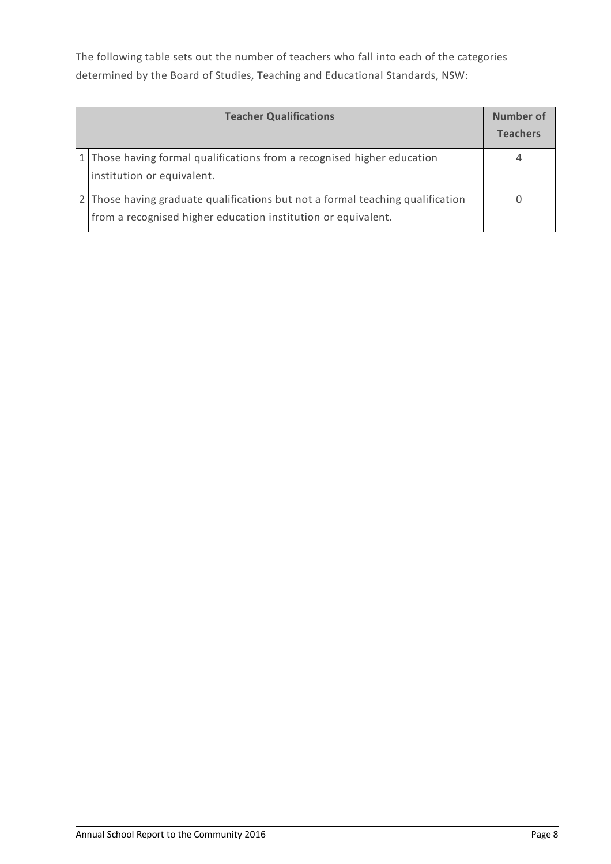The following table sets out the number of teachers who fall into each of the categories determined by the Board of Studies, Teaching and Educational Standards, NSW:

| <b>Teacher Qualifications</b>                                                                                                                 | Number of<br><b>Teachers</b> |
|-----------------------------------------------------------------------------------------------------------------------------------------------|------------------------------|
| 1 Those having formal qualifications from a recognised higher education<br>institution or equivalent.                                         |                              |
| Those having graduate qualifications but not a formal teaching qualification<br>from a recognised higher education institution or equivalent. |                              |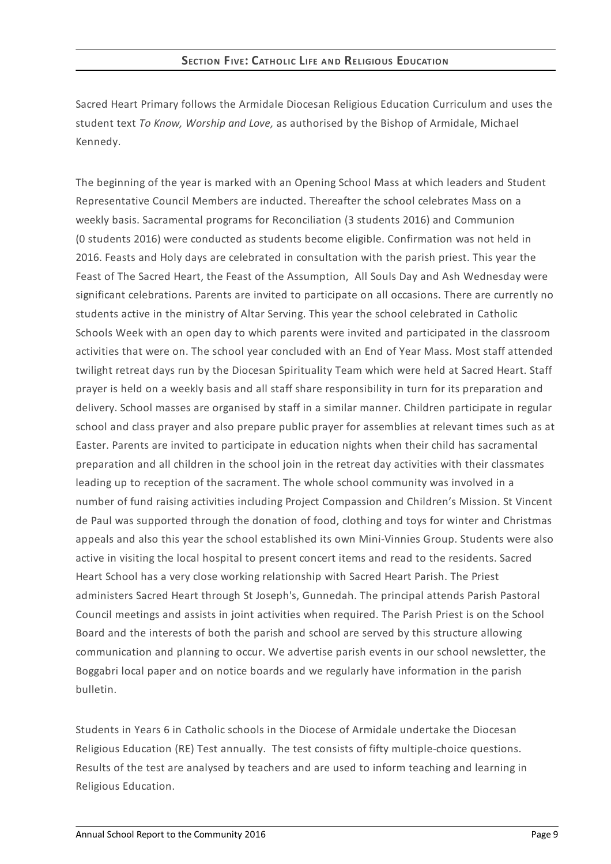Sacred Heart Primary follows the Armidale Diocesan Religious Education Curriculum and uses the student text *To Know, Worship and Love,* as authorised by the Bishop of Armidale, Michael Kennedy.

The beginning of the year is marked with an Opening School Mass at which leaders and Student Representative Council Members are inducted. Thereafter the school celebrates Mass on a weekly basis. Sacramental programs for Reconciliation (3 students 2016) and Communion (0 students 2016) were conducted as students become eligible. Confirmation was not held in 2016. Feasts and Holy days are celebrated in consultation with the parish priest. This year the Feast of The Sacred Heart, the Feast of the Assumption, All Souls Day and Ash Wednesday were significant celebrations. Parents are invited to participate on all occasions. There are currently no students active in the ministry of Altar Serving. This year the school celebrated in Catholic Schools Week with an open day to which parents were invited and participated in the classroom activities that were on. The school year concluded with an End of Year Mass. Most staff attended twilight retreat days run by the Diocesan Spirituality Team which were held at Sacred Heart. Staff prayer is held on a weekly basis and all staff share responsibility in turn for its preparation and delivery. School masses are organised by staff in a similar manner. Children participate in regular school and class prayer and also prepare public prayer for assemblies at relevant times such as at Easter. Parents are invited to participate in education nights when their child has sacramental preparation and all children in the school join in the retreat day activities with their classmates leading up to reception of the sacrament. The whole school community was involved in a number of fund raising activities including Project Compassion and Children's Mission. St Vincent de Paul was supported through the donation of food, clothing and toys for winter and Christmas appeals and also this year the school established its own Mini-Vinnies Group. Students were also active in visiting the local hospital to present concert items and read to the residents. Sacred Heart School has a very close working relationship with Sacred Heart Parish. The Priest administers Sacred Heart through St Joseph's, Gunnedah. The principal attends Parish Pastoral Council meetings and assists in joint activities when required. The Parish Priest is on the School Board and the interests of both the parish and school are served by this structure allowing communication and planning to occur. We advertise parish events in our school newsletter, the Boggabri local paper and on notice boards and we regularly have information in the parish bulletin.

Students in Years 6 in Catholic schools in the Diocese of Armidale undertake the Diocesan Religious Education (RE) Test annually. The test consists of fifty multiple-choice questions. Results of the test are analysed by teachers and are used to inform teaching and learning in Religious Education.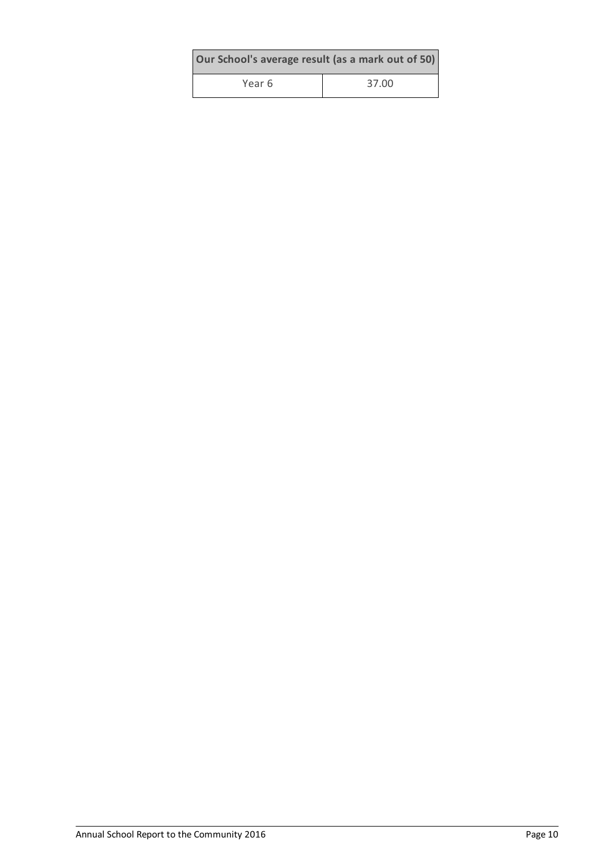| Our School's average result (as a mark out of 50) |       |  |  |
|---------------------------------------------------|-------|--|--|
| Year 6                                            | 37.00 |  |  |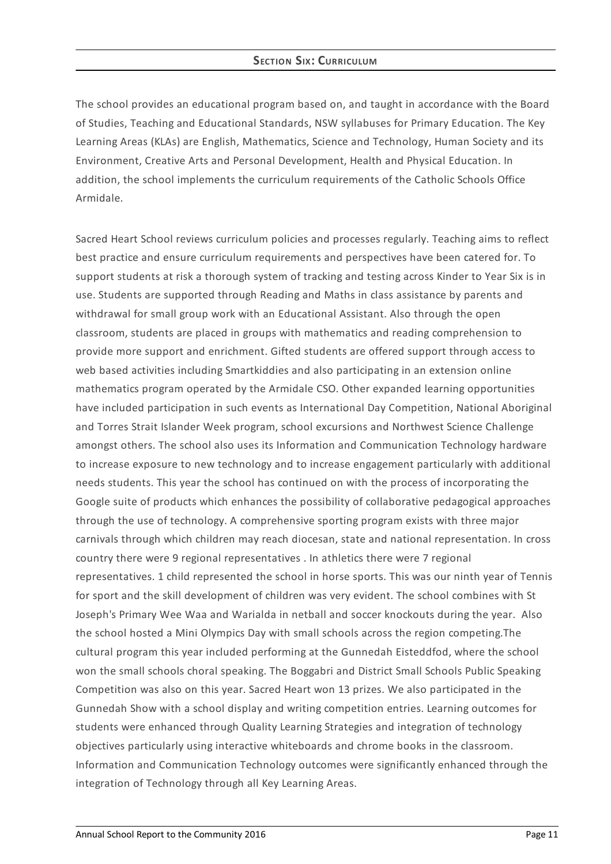# **SECTION SIX: CURRICULUM**

The school provides an educational program based on, and taught in accordance with the Board of Studies, Teaching and Educational Standards, NSW syllabuses for Primary Education. The Key Learning Areas (KLAs) are English, Mathematics, Science and Technology, Human Society and its Environment, Creative Arts and Personal Development, Health and Physical Education. In addition, the school implements the curriculum requirements of the Catholic Schools Office Armidale.

Sacred Heart School reviews curriculum policies and processes regularly. Teaching aims to reflect best practice and ensure curriculum requirements and perspectives have been catered for. To support students at risk a thorough system of tracking and testing across Kinder to Year Six is in use. Students are supported through Reading and Maths in class assistance by parents and withdrawal for small group work with an Educational Assistant. Also through the open classroom, students are placed in groups with mathematics and reading comprehension to provide more support and enrichment. Gifted students are offered support through access to web based activities including Smartkiddies and also participating in an extension online mathematics program operated by the Armidale CSO. Other expanded learning opportunities have included participation in such events as International Day Competition, National Aboriginal and Torres Strait Islander Week program, school excursions and Northwest Science Challenge amongst others. The school also uses its Information and Communication Technology hardware to increase exposure to new technology and to increase engagement particularly with additional needs students. This year the school has continued on with the process of incorporating the Google suite of products which enhances the possibility of collaborative pedagogical approaches through the use of technology. A comprehensive sporting program exists with three major carnivals through which children may reach diocesan, state and national representation. In cross country there were 9 regional representatives . In athletics there were 7 regional representatives. 1 child represented the school in horse sports. This was our ninth year of Tennis for sport and the skill development of children was very evident. The school combines with St Joseph's Primary Wee Waa and Warialda in netball and soccer knockouts during the year. Also the school hosted a Mini Olympics Day with small schools across the region competing.The cultural program this year included performing at the Gunnedah Eisteddfod, where the school won the small schools choral speaking. The Boggabri and District Small Schools Public Speaking Competition was also on this year. Sacred Heart won 13 prizes. We also participated in the Gunnedah Show with a school display and writing competition entries. Learning outcomes for students were enhanced through Quality Learning Strategies and integration of technology objectives particularly using interactive whiteboards and chrome books in the classroom. Information and Communication Technology outcomes were significantly enhanced through the integration of Technology through all Key Learning Areas.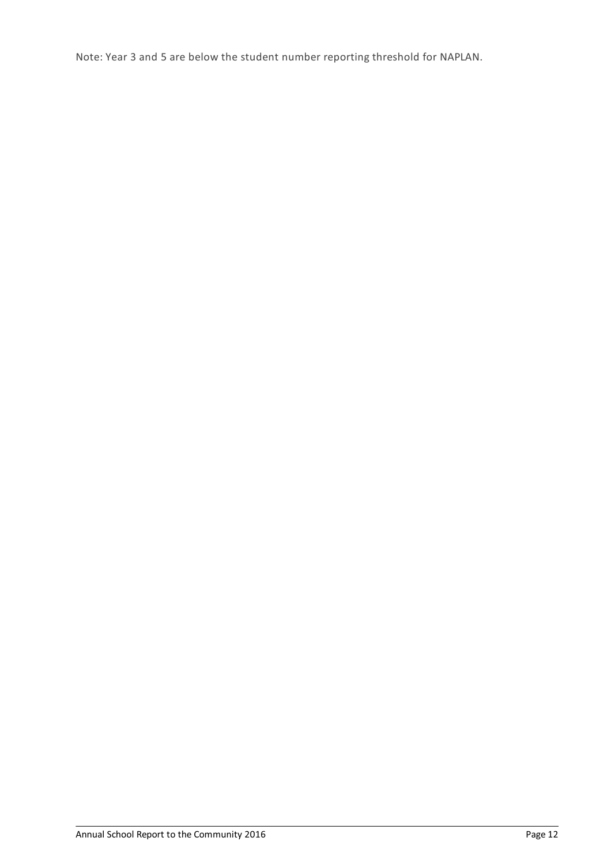Note: Year 3 and 5 are below the student number reporting threshold for NAPLAN.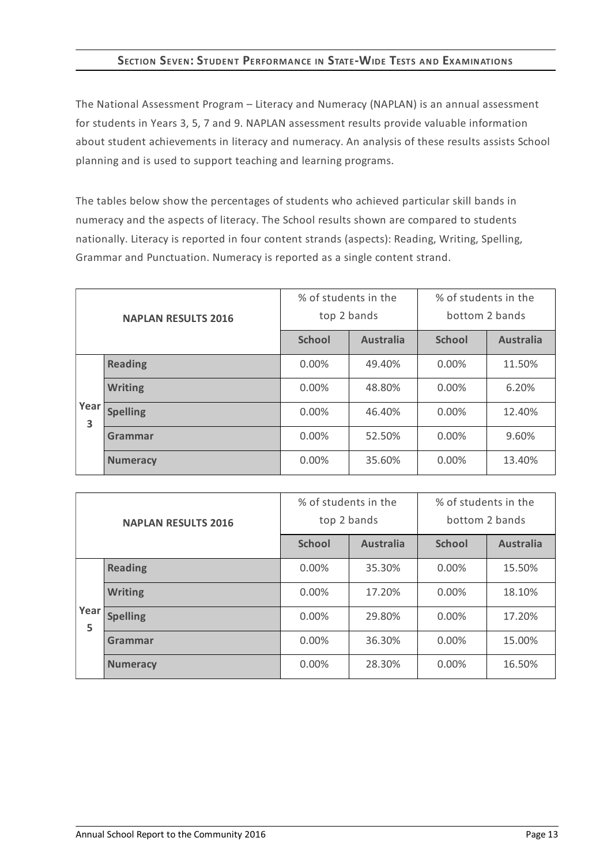# **SECTION SEVEN:STUDENT PERFORMANCE IN STATE-WIDE TESTS AND EXAMINATIONS**

The National Assessment Program – Literacy and Numeracy (NAPLAN) is an annual assessment for students in Years 3, 5, 7 and 9. NAPLAN assessment results provide valuable information about student achievements in literacy and numeracy. An analysis of these results assists School planning and is used to support teaching and learning programs.

The tables below show the percentages of students who achieved particular skill bands in numeracy and the aspects of literacy. The School results shown are compared to students nationally. Literacy is reported in four content strands (aspects): Reading, Writing, Spelling, Grammar and Punctuation. Numeracy is reported as a single content strand.

| <b>NAPLAN RESULTS 2016</b> |                 | % of students in the<br>top 2 bands |                  | % of students in the<br>bottom 2 bands |                  |
|----------------------------|-----------------|-------------------------------------|------------------|----------------------------------------|------------------|
|                            |                 | <b>School</b>                       | <b>Australia</b> | <b>School</b>                          | <b>Australia</b> |
|                            | <b>Reading</b>  | $0.00\%$                            | 49.40%           | $0.00\%$                               | 11.50%           |
|                            | <b>Writing</b>  | $0.00\%$                            | 48.80%           | $0.00\%$                               | 6.20%            |
| Year<br>3                  | <b>Spelling</b> | $0.00\%$                            | 46.40%           | $0.00\%$                               | 12.40%           |
|                            | Grammar         | $0.00\%$                            | 52.50%           | $0.00\%$                               | 9.60%            |
|                            | <b>Numeracy</b> | 0.00%                               | 35.60%           | $0.00\%$                               | 13.40%           |

| <b>NAPLAN RESULTS 2016</b> |                 | % of students in the<br>top 2 bands |                  | % of students in the<br>bottom 2 bands |                  |
|----------------------------|-----------------|-------------------------------------|------------------|----------------------------------------|------------------|
|                            |                 | <b>School</b>                       | <b>Australia</b> | <b>School</b>                          | <b>Australia</b> |
|                            | <b>Reading</b>  | $0.00\%$                            | 35.30%           | $0.00\%$                               | 15.50%           |
|                            | <b>Writing</b>  | $0.00\%$                            | 17.20%           | $0.00\%$                               | 18.10%           |
| Year<br>5                  | <b>Spelling</b> | $0.00\%$                            | 29.80%           | $0.00\%$                               | 17.20%           |
|                            | Grammar         | $0.00\%$                            | 36.30%           | $0.00\%$                               | 15.00%           |
|                            | <b>Numeracy</b> | 0.00%                               | 28.30%           | 0.00%                                  | 16.50%           |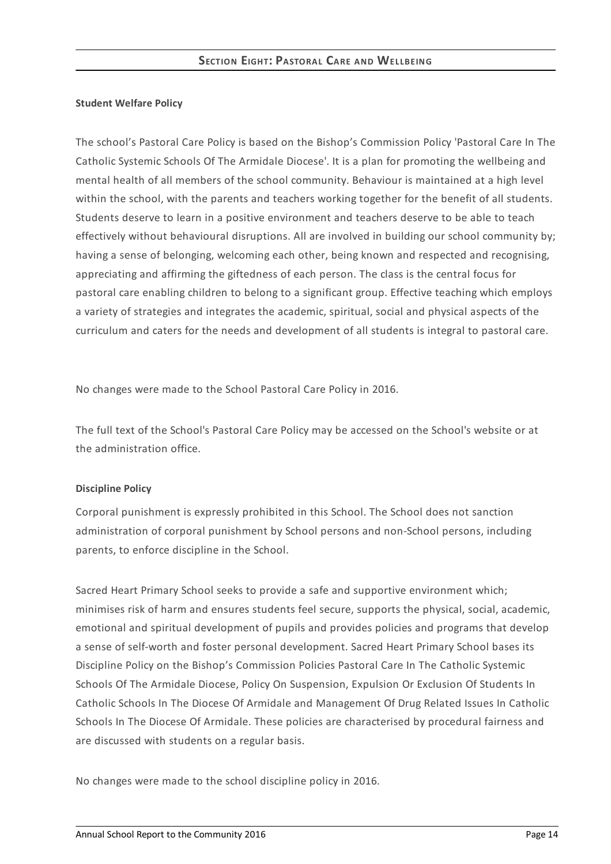### **Student Welfare Policy**

The school's Pastoral Care Policy is based on the Bishop's Commission Policy 'Pastoral Care In The Catholic Systemic Schools Of The Armidale Diocese'. It is a plan for promoting the wellbeing and mental health of all members of the school community. Behaviour is maintained at a high level within the school, with the parents and teachers working together for the benefit of all students. Students deserve to learn in a positive environment and teachers deserve to be able to teach effectively without behavioural disruptions. All are involved in building our school community by; having a sense of belonging, welcoming each other, being known and respected and recognising, appreciating and affirming the giftedness of each person. The class is the central focus for pastoral care enabling children to belong to a significant group. Effective teaching which employs a variety of strategies and integrates the academic, spiritual, social and physical aspects of the curriculum and caters for the needs and development of all students is integral to pastoral care.

No changes were made to the School Pastoral Care Policy in 2016.

The full text of the School's Pastoral Care Policy may be accessed on the School's website or at the administration office.

## **Discipline Policy**

Corporal punishment is expressly prohibited in this School. The School does not sanction administration of corporal punishment by School persons and non-School persons, including parents, to enforce discipline in the School.

Sacred Heart Primary School seeks to provide a safe and supportive environment which; minimises risk of harm and ensures students feel secure, supports the physical, social, academic, emotional and spiritual development of pupils and provides policies and programs that develop a sense of self-worth and foster personal development. Sacred Heart Primary School bases its Discipline Policy on the Bishop's Commission Policies Pastoral Care In The Catholic Systemic Schools Of The Armidale Diocese, Policy On Suspension, Expulsion Or Exclusion Of Students In Catholic Schools In The Diocese Of Armidale and Management Of Drug Related Issues In Catholic Schools In The Diocese Of Armidale. These policies are characterised by procedural fairness and are discussed with students on a regular basis.

No changes were made to the school discipline policy in 2016.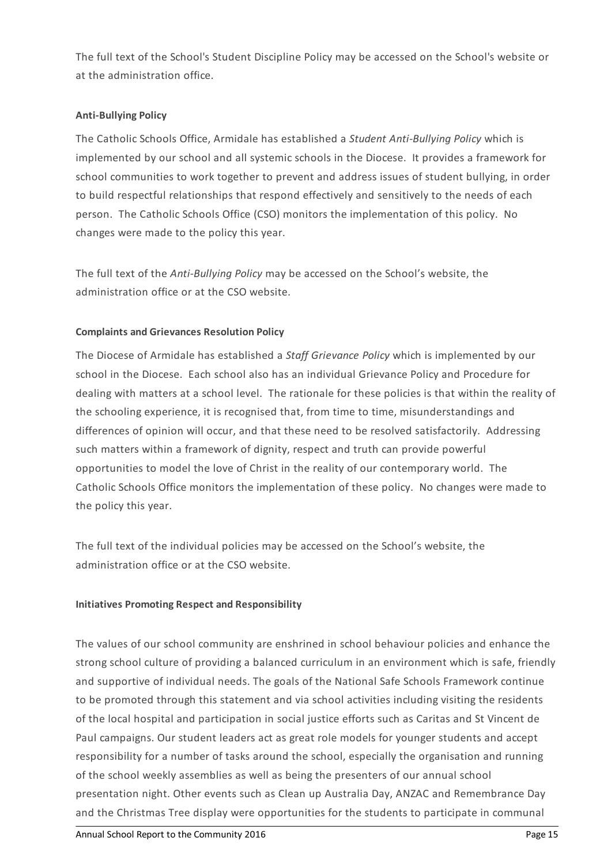The full text of the School's Student Discipline Policy may be accessed on the School's website or at the administration office.

# **Anti-Bullying Policy**

The Catholic Schools Office, Armidale has established a *Student Anti-Bullying Policy* which is implemented by our school and all systemic schools in the Diocese. It provides a framework for school communities to work together to prevent and address issues of student bullying, in order to build respectful relationships that respond effectively and sensitively to the needs of each person. The Catholic Schools Office (CSO) monitors the implementation of this policy. No changes were made to the policy this year.

The full text of the *Anti-Bullying Policy* may be accessed on the School's website, the administration office or at the CSO website.

# **Complaints and Grievances Resolution Policy**

The Diocese of Armidale has established a *Staff Grievance Policy* which is implemented by our school in the Diocese. Each school also has an individual Grievance Policy and Procedure for dealing with matters at a school level. The rationale for these policies is that within the reality of the schooling experience, it is recognised that, from time to time, misunderstandings and differences of opinion will occur, and that these need to be resolved satisfactorily. Addressing such matters within a framework of dignity, respect and truth can provide powerful opportunities to model the love of Christ in the reality of our contemporary world. The Catholic Schools Office monitors the implementation of these policy. No changes were made to the policy this year.

The full text of the individual policies may be accessed on the School's website, the administration office or at the CSO website.

## **Initiatives Promoting Respect and Responsibility**

The values of our school community are enshrined in school behaviour policies and enhance the strong school culture of providing a balanced curriculum in an environment which is safe, friendly and supportive of individual needs. The goals of the National Safe Schools Framework continue to be promoted through this statement and via school activities including visiting the residents of the local hospital and participation in social justice efforts such as Caritas and St Vincent de Paul campaigns. Our student leaders act as great role models for younger students and accept responsibility for a number of tasks around the school, especially the organisation and running of the school weekly assemblies as well as being the presenters of our annual school presentation night. Other events such as Clean up Australia Day, ANZAC and Remembrance Day and the Christmas Tree display were opportunities for the students to participate in communal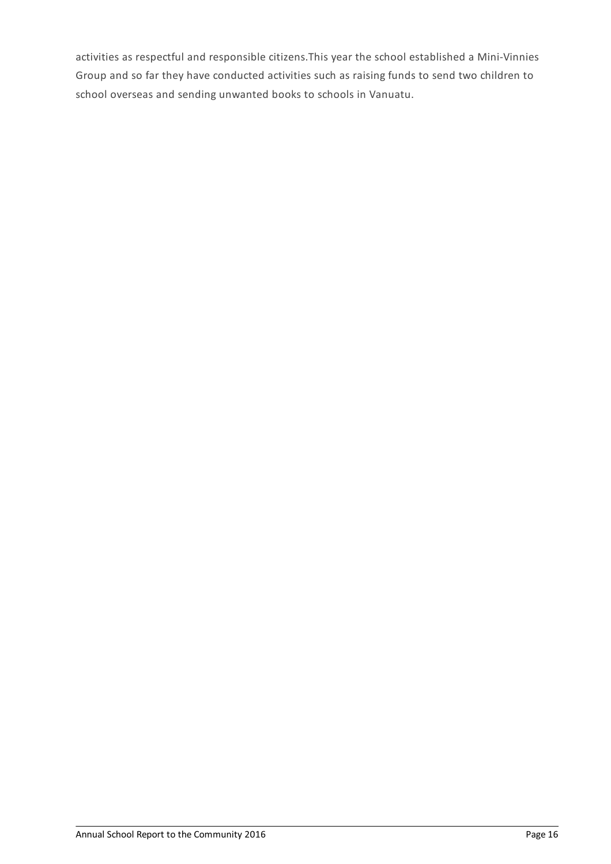activities as respectful and responsible citizens.This year the school established a Mini-Vinnies Group and so far they have conducted activities such as raising funds to send two children to school overseas and sending unwanted books to schools in Vanuatu.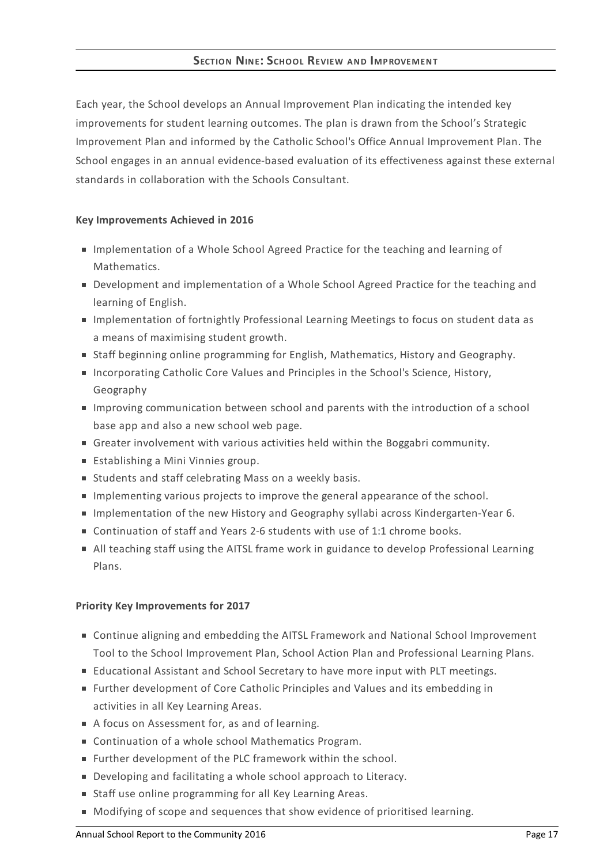Each year, the School develops an Annual Improvement Plan indicating the intended key improvements for student learning outcomes. The plan is drawn from the School's Strategic Improvement Plan and informed by the Catholic School's Office Annual Improvement Plan. The School engages in an annual evidence-based evaluation of its effectiveness against these external standards in collaboration with the Schools Consultant.

# **Key Improvements Achieved in 2016**

- **Implementation of a Whole School Agreed Practice for the teaching and learning of** Mathematics.
- **Development and implementation of a Whole School Agreed Practice for the teaching and** learning of English.
- **Implementation of fortnightly Professional Learning Meetings to focus on student data as** a means of maximising student growth.
- **Staff beginning online programming for English, Mathematics, History and Geography.**
- **Incorporating Catholic Core Values and Principles in the School's Science, History,** Geography
- Improving communication between school and parents with the introduction of a school base app and also a new school web page.
- Greater involvement with various activities held within the Boggabri community.
- **Establishing a Mini Vinnies group.**
- Students and staff celebrating Mass on a weekly basis.
- **Implementing various projects to improve the general appearance of the school.**
- Implementation of the new History and Geography syllabi across Kindergarten-Year 6.
- Continuation of staff and Years 2-6 students with use of 1:1 chrome books.
- All teaching staff using the AITSL frame work in guidance to develop Professional Learning Plans.

## **Priority Key Improvements for 2017**

- Continue aligning and embedding the AITSL Framework and National School Improvement Tool to the School Improvement Plan, School Action Plan and Professional Learning Plans.
- Educational Assistant and School Secretary to have more input with PLT meetings.
- Further development of Core Catholic Principles and Values and its embedding in activities in all Key Learning Areas.
- A focus on Assessment for, as and of learning.
- Continuation of a whole school Mathematics Program.
- Further development of the PLC framework within the school.
- Developing and facilitating a whole school approach to Literacy.
- **Staff use online programming for all Key Learning Areas.**
- $\blacksquare$  Modifying of scope and sequences that show evidence of prioritised learning.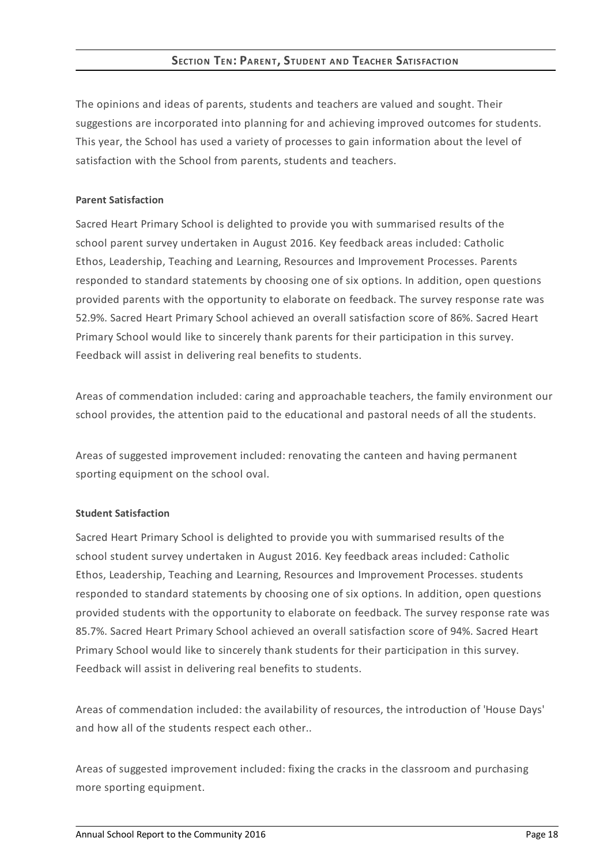# **SECTION TEN: PARENT, STUDENT AND TEACHER SATISFACTION**

The opinions and ideas of parents, students and teachers are valued and sought. Their suggestions are incorporated into planning for and achieving improved outcomes for students. This year, the School has used a variety of processes to gain information about the level of satisfaction with the School from parents, students and teachers.

### **Parent Satisfaction**

Sacred Heart Primary School is delighted to provide you with summarised results of the school parent survey undertaken in August 2016. Key feedback areas included: Catholic Ethos, Leadership, Teaching and Learning, Resources and Improvement Processes. Parents responded to standard statements by choosing one of six options. In addition, open questions provided parents with the opportunity to elaborate on feedback. The survey response rate was 52.9%. Sacred Heart Primary School achieved an overall satisfaction score of 86%. Sacred Heart Primary School would like to sincerely thank parents for their participation in this survey. Feedback will assist in delivering real benefits to students.

Areas of commendation included: caring and approachable teachers, the family environment our school provides, the attention paid to the educational and pastoral needs of all the students.

Areas of suggested improvement included: renovating the canteen and having permanent sporting equipment on the school oval.

## **Student Satisfaction**

Sacred Heart Primary School is delighted to provide you with summarised results of the school student survey undertaken in August 2016. Key feedback areas included: Catholic Ethos, Leadership, Teaching and Learning, Resources and Improvement Processes. students responded to standard statements by choosing one of six options. In addition, open questions provided students with the opportunity to elaborate on feedback. The survey response rate was 85.7%. Sacred Heart Primary School achieved an overall satisfaction score of 94%. Sacred Heart Primary School would like to sincerely thank students for their participation in this survey. Feedback will assist in delivering real benefits to students.

Areas of commendation included: the availability of resources, the introduction of 'House Days' and how all of the students respect each other..

Areas of suggested improvement included: fixing the cracks in the classroom and purchasing more sporting equipment.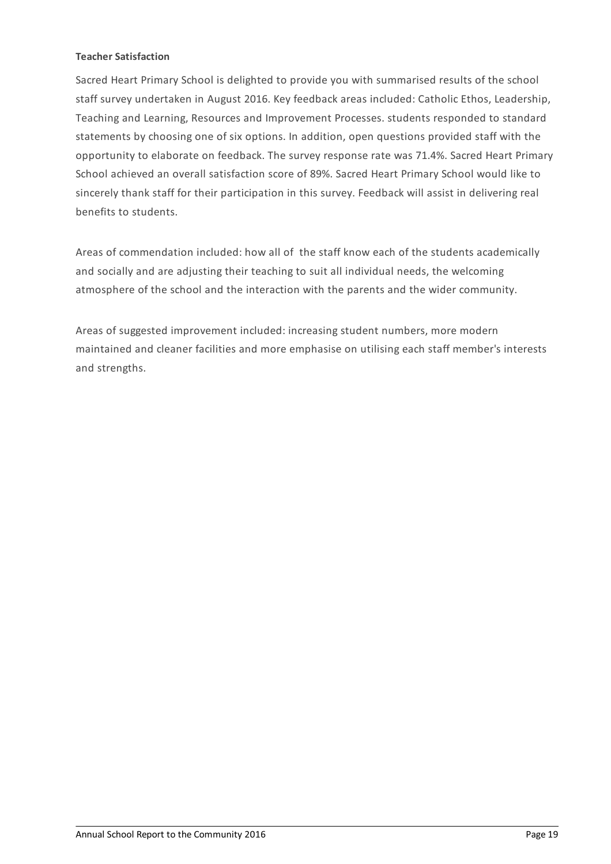## **Teacher Satisfaction**

Sacred Heart Primary School is delighted to provide you with summarised results of the school staff survey undertaken in August 2016. Key feedback areas included: Catholic Ethos, Leadership, Teaching and Learning, Resources and Improvement Processes. students responded to standard statements by choosing one of six options. In addition, open questions provided staff with the opportunity to elaborate on feedback. The survey response rate was 71.4%. Sacred Heart Primary School achieved an overall satisfaction score of 89%. Sacred Heart Primary School would like to sincerely thank staff for their participation in this survey. Feedback will assist in delivering real benefits to students.

Areas of commendation included: how all of the staff know each of the students academically and socially and are adjusting their teaching to suit all individual needs, the welcoming atmosphere of the school and the interaction with the parents and the wider community.

Areas of suggested improvement included: increasing student numbers, more modern maintained and cleaner facilities and more emphasise on utilising each staff member's interests and strengths.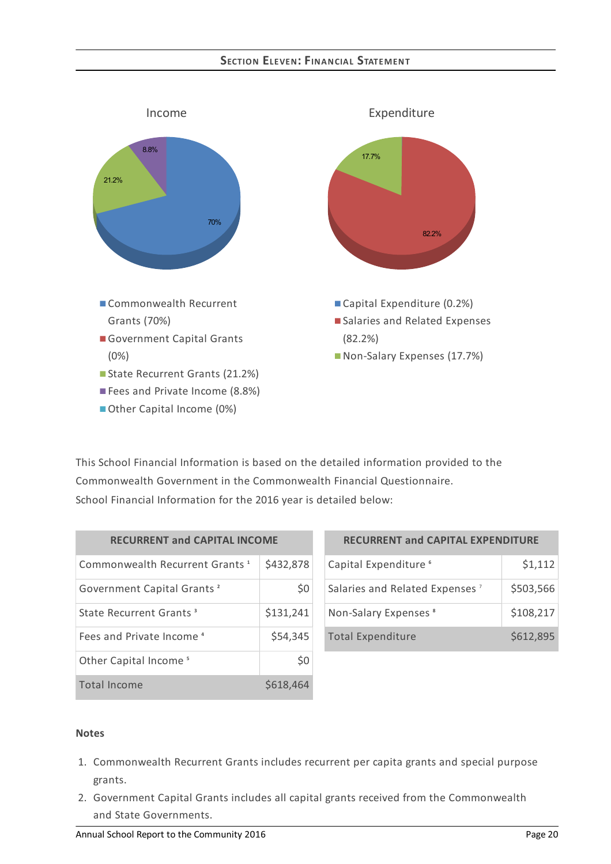# **SECTION ELEVEN:FINANCIAL STATEMENT**



This School Financial Information is based on the detailed information provided to the Commonwealth Government in the Commonwealth Financial Questionnaire. School Financial Information for the 2016 year is detailed below:

| <b>RECURRENT and CAPITAL INCOME</b>        |           |  |
|--------------------------------------------|-----------|--|
| Commonwealth Recurrent Grants <sup>1</sup> | \$432,878 |  |
| Government Capital Grants <sup>2</sup>     | \$0       |  |
| State Recurrent Grants <sup>3</sup>        | \$131,241 |  |
| Fees and Private Income <sup>4</sup>       | \$54,345  |  |
| Other Capital Income <sup>5</sup>          | S0        |  |
| Total Income                               | \$618,464 |  |

| <b>RECURRENT and CAPITAL EXPENDITURE</b>   |           |  |
|--------------------------------------------|-----------|--|
| Capital Expenditure <sup>6</sup>           | \$1,112   |  |
| Salaries and Related Expenses <sup>7</sup> | \$503,566 |  |
| Non-Salary Expenses <sup>8</sup>           | \$108,217 |  |
| <b>Total Expenditure</b>                   | \$612,895 |  |

#### **Notes**

- 1. Commonwealth Recurrent Grants includes recurrent per capita grants and special purpose grants.
- 2. Government Capital Grants includes all capital grants received from the Commonwealth and State Governments.